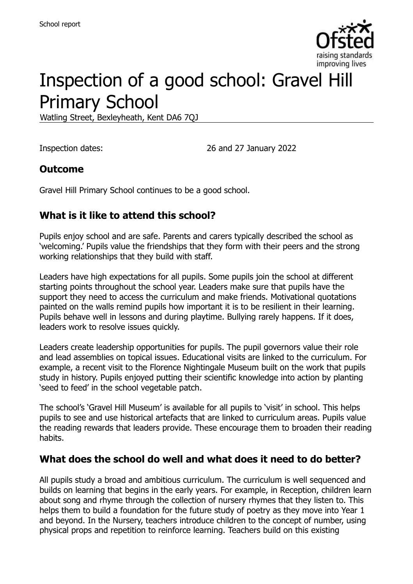

# Inspection of a good school: Gravel Hill Primary School

Watling Street, Bexleyheath, Kent DA6 7QJ

Inspection dates: 26 and 27 January 2022

#### **Outcome**

Gravel Hill Primary School continues to be a good school.

#### **What is it like to attend this school?**

Pupils enjoy school and are safe. Parents and carers typically described the school as 'welcoming.' Pupils value the friendships that they form with their peers and the strong working relationships that they build with staff.

Leaders have high expectations for all pupils. Some pupils join the school at different starting points throughout the school year. Leaders make sure that pupils have the support they need to access the curriculum and make friends. Motivational quotations painted on the walls remind pupils how important it is to be resilient in their learning. Pupils behave well in lessons and during playtime. Bullying rarely happens. If it does, leaders work to resolve issues quickly.

Leaders create leadership opportunities for pupils. The pupil governors value their role and lead assemblies on topical issues. Educational visits are linked to the curriculum. For example, a recent visit to the Florence Nightingale Museum built on the work that pupils study in history. Pupils enjoyed putting their scientific knowledge into action by planting 'seed to feed' in the school vegetable patch.

The school's 'Gravel Hill Museum' is available for all pupils to 'visit' in school. This helps pupils to see and use historical artefacts that are linked to curriculum areas. Pupils value the reading rewards that leaders provide. These encourage them to broaden their reading habits.

#### **What does the school do well and what does it need to do better?**

All pupils study a broad and ambitious curriculum. The curriculum is well sequenced and builds on learning that begins in the early years. For example, in Reception, children learn about song and rhyme through the collection of nursery rhymes that they listen to. This helps them to build a foundation for the future study of poetry as they move into Year 1 and beyond. In the Nursery, teachers introduce children to the concept of number, using physical props and repetition to reinforce learning. Teachers build on this existing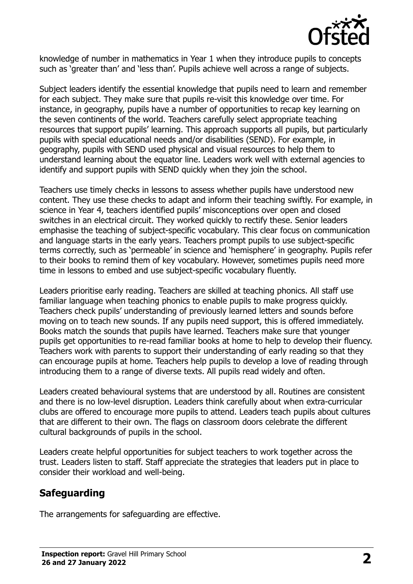

knowledge of number in mathematics in Year 1 when they introduce pupils to concepts such as 'greater than' and 'less than'. Pupils achieve well across a range of subjects.

Subject leaders identify the essential knowledge that pupils need to learn and remember for each subject. They make sure that pupils re-visit this knowledge over time. For instance, in geography, pupils have a number of opportunities to recap key learning on the seven continents of the world. Teachers carefully select appropriate teaching resources that support pupils' learning. This approach supports all pupils, but particularly pupils with special educational needs and/or disabilities (SEND). For example, in geography, pupils with SEND used physical and visual resources to help them to understand learning about the equator line. Leaders work well with external agencies to identify and support pupils with SEND quickly when they join the school.

Teachers use timely checks in lessons to assess whether pupils have understood new content. They use these checks to adapt and inform their teaching swiftly. For example, in science in Year 4, teachers identified pupils' misconceptions over open and closed switches in an electrical circuit. They worked quickly to rectify these. Senior leaders emphasise the teaching of subject-specific vocabulary. This clear focus on communication and language starts in the early years. Teachers prompt pupils to use subject-specific terms correctly, such as 'permeable' in science and 'hemisphere' in geography. Pupils refer to their books to remind them of key vocabulary. However, sometimes pupils need more time in lessons to embed and use subject-specific vocabulary fluently.

Leaders prioritise early reading. Teachers are skilled at teaching phonics. All staff use familiar language when teaching phonics to enable pupils to make progress quickly. Teachers check pupils' understanding of previously learned letters and sounds before moving on to teach new sounds. If any pupils need support, this is offered immediately. Books match the sounds that pupils have learned. Teachers make sure that younger pupils get opportunities to re-read familiar books at home to help to develop their fluency. Teachers work with parents to support their understanding of early reading so that they can encourage pupils at home. Teachers help pupils to develop a love of reading through introducing them to a range of diverse texts. All pupils read widely and often.

Leaders created behavioural systems that are understood by all. Routines are consistent and there is no low-level disruption. Leaders think carefully about when extra-curricular clubs are offered to encourage more pupils to attend. Leaders teach pupils about cultures that are different to their own. The flags on classroom doors celebrate the different cultural backgrounds of pupils in the school.

Leaders create helpful opportunities for subject teachers to work together across the trust. Leaders listen to staff. Staff appreciate the strategies that leaders put in place to consider their workload and well-being.

# **Safeguarding**

The arrangements for safeguarding are effective.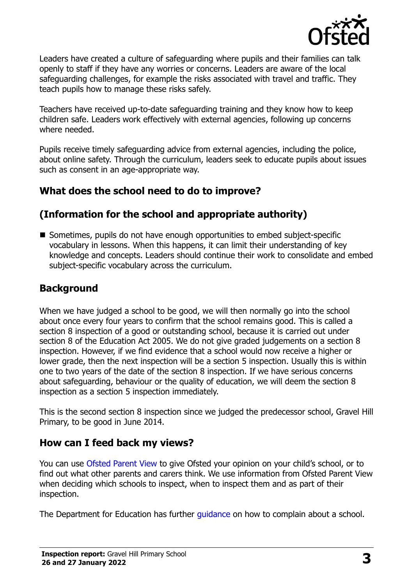

Leaders have created a culture of safeguarding where pupils and their families can talk openly to staff if they have any worries or concerns. Leaders are aware of the local safeguarding challenges, for example the risks associated with travel and traffic. They teach pupils how to manage these risks safely.

Teachers have received up-to-date safeguarding training and they know how to keep children safe. Leaders work effectively with external agencies, following up concerns where needed.

Pupils receive timely safeguarding advice from external agencies, including the police, about online safety. Through the curriculum, leaders seek to educate pupils about issues such as consent in an age-appropriate way.

#### **What does the school need to do to improve?**

#### **(Information for the school and appropriate authority)**

 Sometimes, pupils do not have enough opportunities to embed subject-specific vocabulary in lessons. When this happens, it can limit their understanding of key knowledge and concepts. Leaders should continue their work to consolidate and embed subject-specific vocabulary across the curriculum.

### **Background**

When we have judged a school to be good, we will then normally go into the school about once every four years to confirm that the school remains good. This is called a section 8 inspection of a good or outstanding school, because it is carried out under section 8 of the Education Act 2005. We do not give graded judgements on a section 8 inspection. However, if we find evidence that a school would now receive a higher or lower grade, then the next inspection will be a section 5 inspection. Usually this is within one to two years of the date of the section 8 inspection. If we have serious concerns about safeguarding, behaviour or the quality of education, we will deem the section 8 inspection as a section 5 inspection immediately.

This is the second section 8 inspection since we judged the predecessor school, Gravel Hill Primary, to be good in June 2014.

#### **How can I feed back my views?**

You can use [Ofsted Parent View](https://parentview.ofsted.gov.uk/) to give Ofsted your opinion on your child's school, or to find out what other parents and carers think. We use information from Ofsted Parent View when deciding which schools to inspect, when to inspect them and as part of their inspection.

The Department for Education has further quidance on how to complain about a school.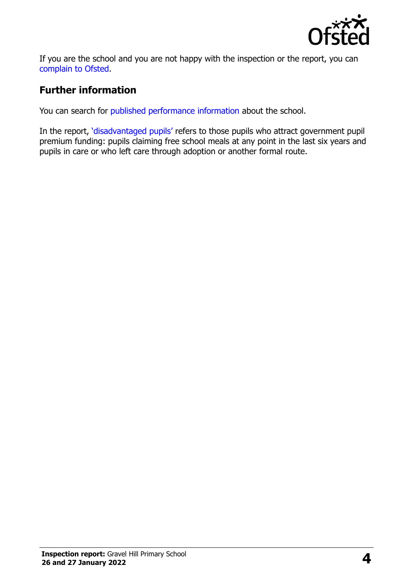

If you are the school and you are not happy with the inspection or the report, you can [complain to Ofsted.](https://www.gov.uk/complain-ofsted-report)

### **Further information**

You can search for [published performance information](http://www.compare-school-performance.service.gov.uk/) about the school.

In the report, '[disadvantaged pupils](http://www.gov.uk/guidance/pupil-premium-information-for-schools-and-alternative-provision-settings)' refers to those pupils who attract government pupil premium funding: pupils claiming free school meals at any point in the last six years and pupils in care or who left care through adoption or another formal route.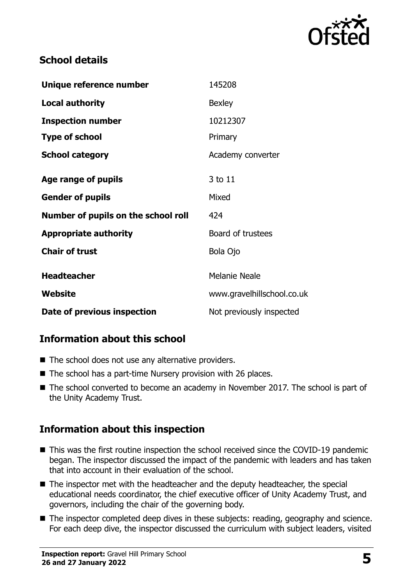

### **School details**

| Unique reference number             | 145208                     |
|-------------------------------------|----------------------------|
| <b>Local authority</b>              | <b>Bexley</b>              |
| <b>Inspection number</b>            | 10212307                   |
| <b>Type of school</b>               | Primary                    |
| <b>School category</b>              | Academy converter          |
| Age range of pupils                 | 3 to 11                    |
| <b>Gender of pupils</b>             | Mixed                      |
| Number of pupils on the school roll | 424                        |
| <b>Appropriate authority</b>        | Board of trustees          |
| <b>Chair of trust</b>               | Bola Ojo                   |
| <b>Headteacher</b>                  | <b>Melanie Neale</b>       |
| Website                             | www.gravelhillschool.co.uk |
| Date of previous inspection         | Not previously inspected   |

# **Information about this school**

- The school does not use any alternative providers.
- The school has a part-time Nursery provision with 26 places.
- The school converted to become an academy in November 2017. The school is part of the Unity Academy Trust.

# **Information about this inspection**

- This was the first routine inspection the school received since the COVID-19 pandemic began. The inspector discussed the impact of the pandemic with leaders and has taken that into account in their evaluation of the school.
- The inspector met with the headteacher and the deputy headteacher, the special educational needs coordinator, the chief executive officer of Unity Academy Trust, and governors, including the chair of the governing body.
- The inspector completed deep dives in these subjects: reading, geography and science. For each deep dive, the inspector discussed the curriculum with subject leaders, visited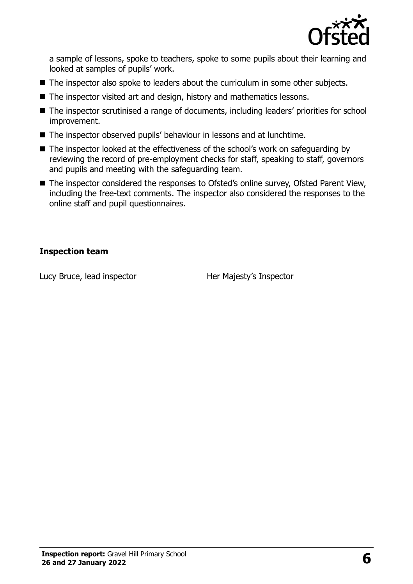

a sample of lessons, spoke to teachers, spoke to some pupils about their learning and looked at samples of pupils' work.

- The inspector also spoke to leaders about the curriculum in some other subjects.
- The inspector visited art and design, history and mathematics lessons.
- The inspector scrutinised a range of documents, including leaders' priorities for school improvement.
- The inspector observed pupils' behaviour in lessons and at lunchtime.
- The inspector looked at the effectiveness of the school's work on safeguarding by reviewing the record of pre-employment checks for staff, speaking to staff, governors and pupils and meeting with the safeguarding team.
- The inspector considered the responses to Ofsted's online survey, Ofsted Parent View, including the free-text comments. The inspector also considered the responses to the online staff and pupil questionnaires.

#### **Inspection team**

Lucy Bruce, lead inspector **Her Majesty's Inspector**